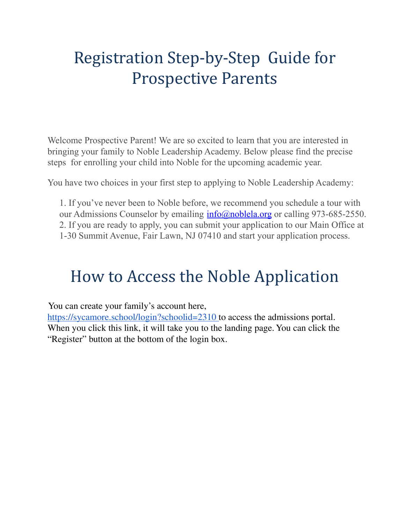# Registration Step-by-Step Guide for Prospective Parents

Welcome Prospective Parent! We are so excited to learn that you are interested in bringing your family to Noble Leadership Academy. Below please find the precise steps for enrolling your child into Noble for the upcoming academic year.

You have two choices in your first step to applying to Noble Leadership Academy:

1. If you've never been to Noble before, we recommend you schedule a tour with our Admissions Counselor by emailing  $info(\omega)$  noblela.org or calling 973-685-2550. 2. If you are ready to apply, you can submit your application to our Main Office at 1-30 Summit Avenue, Fair Lawn, NJ 07410 and start your application process.

## How to Access the Noble Application

You can create your family's account here,

<https://sycamore.school/login?schoolid=2310> to access the admissions portal. When you click this link, it will take you to the landing page. You can click the "Register" button at the bottom of the login box.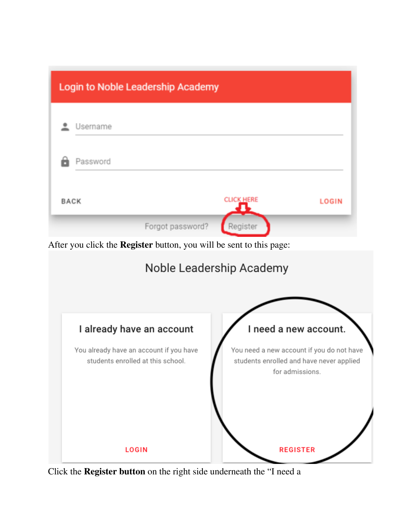

Click the **Register button** on the right side underneath the "I need a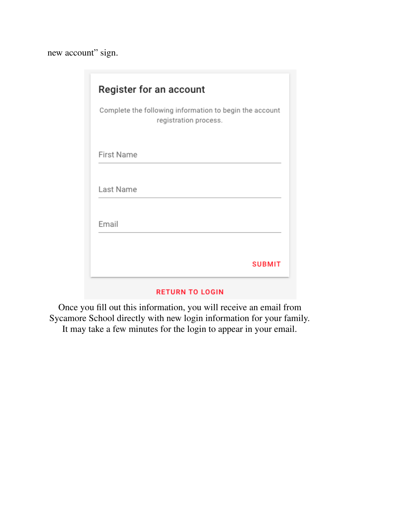new account" sign.

| Register for an account                                                          |
|----------------------------------------------------------------------------------|
| Complete the following information to begin the account<br>registration process. |
| <b>First Name</b>                                                                |
| Last Name                                                                        |
| Email                                                                            |
| <b>SUBMIT</b>                                                                    |

#### **RETURN TO LOGIN**

Once you fill out this information, you will receive an email from Sycamore School directly with new login information for your family. It may take a few minutes for the login to appear in your email.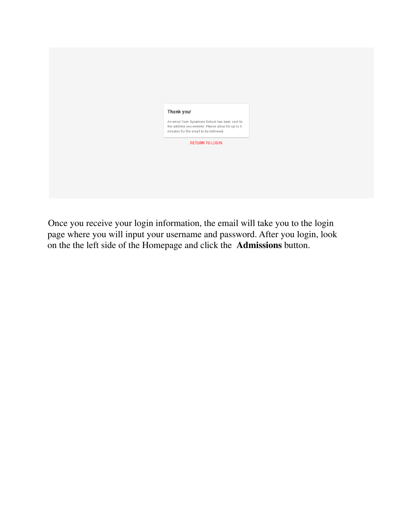| Thank you!                                                                                  |  |
|---------------------------------------------------------------------------------------------|--|
|                                                                                             |  |
| An email from Sycamore School has been sent to                                              |  |
| the address you entered. Please allow for up to 5<br>minutes for the email to be delivered. |  |
|                                                                                             |  |
| <b>RETURN TO LOGIN</b>                                                                      |  |
|                                                                                             |  |
|                                                                                             |  |
|                                                                                             |  |
|                                                                                             |  |
|                                                                                             |  |
|                                                                                             |  |
|                                                                                             |  |
|                                                                                             |  |
|                                                                                             |  |

Once you receive your login information, the email will take you to the login page where you will input your username and password. After you login, look on the the left side of the Homepage and click the **Admissions** button.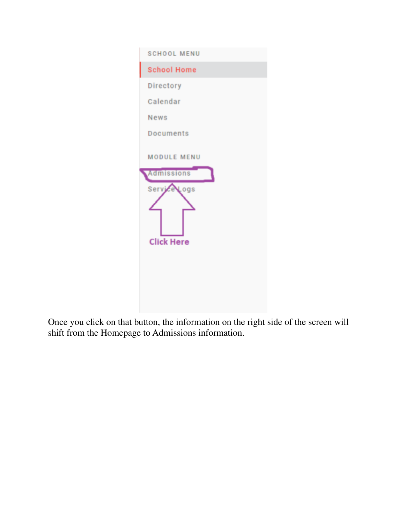

Once you click on that button, the information on the right side of the screen will shift from the Homepage to Admissions information.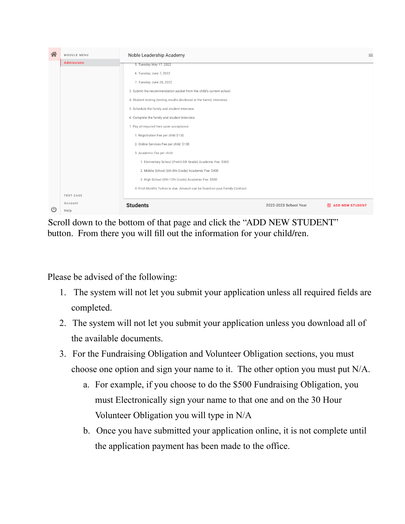

Scroll down to the bottom of that page and click the "ADD NEW STUDENT" button. From there you will fill out the information for your child/ren.

Please be advised of the following:

- 1. The system will not let you submit your application unless all required fields are completed.
- 2. The system will not let you submit your application unless you download all of the available documents.
- 3. For the Fundraising Obligation and Volunteer Obligation sections, you must choose one option and sign your name to it. The other option you must put N/A.
	- a. For example, if you choose to do the \$500 Fundraising Obligation, you must Electronically sign your name to that one and on the 30 Hour Volunteer Obligation you will type in N/A
	- b. Once you have submitted your application online, it is not complete until the application payment has been made to the office.